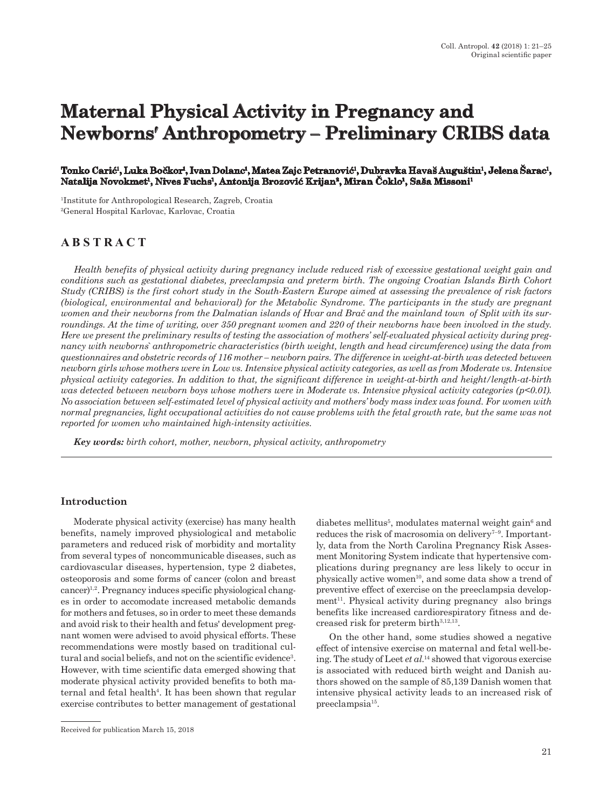# **Maternal Physical Activity in Pregnancy and Newborns′ Anthropometry – Preliminary CRIBS data**

#### Tonko Carić<sup>ı</sup>, Luka Bočkor<sup>ı</sup>, Ivan Dolanc<sup>ı</sup>, Matea Zajc Petranović<sup>ı</sup>, Dubravka Havaš Auguštin<sup>ı</sup>, Jelena Sarac<sup>ı</sup>, **Natalija Novokmet1, Nives Fuchs1, Antonija Brozović Krijan<sup>2</sup>, Miran Čoklo<sup>1</sup>, Saša Missoni<sup>1</sup>**

1Institute for Anthropological Research, Zagreb, Croatia 2General Hospital Karlovac, Karlovac, Croatia

# **A B S T R A C T**

*Health benefits of physical activity during pregnancy include reduced risk of excessive gestational weight gain and conditions such as gestational diabetes, preeclampsia and preterm birth. The ongoing Croatian Islands Birth Cohort Study (CRIBS) is the first cohort study in the South-Eastern Europe aimed at assessing the prevalence of risk factors (biological, environmental and behavioral) for the Metabolic Syndrome. The participants in the study are pregnant women and their newborns from the Dalmatian islands of Hvar and Brač and the mainland town of Split with its surroundings. At the time of writing, over 350 pregnant women and 220 of their newborns have been involved in the study. Here we present the preliminary results of testing the association of mothers' self-evaluated physical activity during pregnancy with newborns` anthropometric characteristics (birth weight, length and head circumference) using the data from questionnaires and obstetric records of 116 mother – newborn pairs. The difference in weight-at-birth was detected between newborn girls whose mothers were in Low vs. Intensive physical activity categories, as well as from Moderate vs. Intensive physical activity categories. In addition to that, the significant difference in weight-at-birth and height/length-at-birth was detected between newborn boys whose mothers were in Moderate vs. Intensive physical activity categories (p<0.01). No association between self-estimated level of physical activity and mothers' body mass index was found. For women with normal pregnancies, light occupational activities do not cause problems with the fetal growth rate, but the same was not reported for women who maintained high-intensity activities.*

*Key words: birth cohort, mother, newborn, physical activity, anthropometry*

# **Introduction**

Moderate physical activity (exercise) has many health benefits, namely improved physiological and metabolic parameters and reduced risk of morbidity and mortality from several types of noncommunicable diseases, such as cardiovascular diseases, hypertension, type 2 diabetes, osteoporosis and some forms of cancer (colon and breast cancer)1,2. Pregnancy induces specific physiological changes in order to accomodate increased metabolic demands for mothers and fetuses, so in order to meet these demands and avoid risk to their health and fetus' development pregnant women were advised to avoid physical efforts. These recommendations were mostly based on traditional cultural and social beliefs, and not on the scientific evidence<sup>3</sup>. However, with time scientific data emerged showing that moderate physical activity provided benefits to both maternal and fetal health<sup>4</sup>. It has been shown that regular exercise contributes to better management of gestational

diabetes mellitus<sup>5</sup>, modulates maternal weight gain<sup>6</sup> and reduces the risk of macrosomia on delivery<sup> $7-9$ </sup>. Importantly, data from the North Carolina Pregnancy Risk Assesment Monitoring System indicate that hypertensive complications during pregnancy are less likely to occur in physically active women $^{10}$ , and some data show a trend of preventive effect of exercise on the preeclampsia develop $ment<sup>11</sup>$ . Physical activity during pregnancy also brings benefits like increased cardiorespiratory fitness and decreased risk for preterm birth<sup>3,12,13</sup>.

On the other hand, some studies showed a negative effect of intensive exercise on maternal and fetal well-being. The study of Leet *et al.*<sup>14</sup> showed that vigorous exercise is associated with reduced birth weight and Danish authors showed on the sample of 85,139 Danish women that intensive physical activity leads to an increased risk of preeclampsia15.

Received for publication March 15, 2018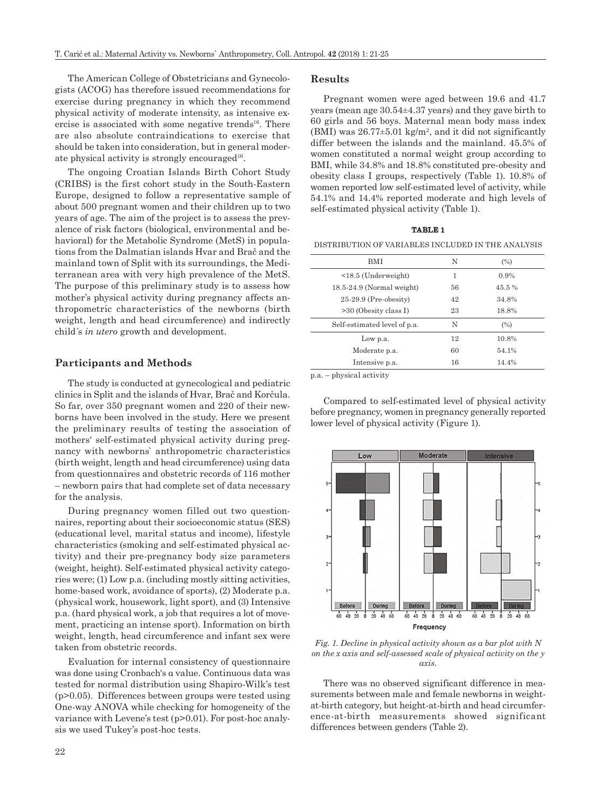The American College of Obstetricians and Gynecologists (ACOG) has therefore issued recommendations for exercise during pregnancy in which they recommend physical activity of moderate intensity, as intensive exercise is associated with some negative trends<sup>16</sup>. There are also absolute contraindications to exercise that should be taken into consideration, but in general moderate physical activity is strongly encouraged<sup>16</sup>.

The ongoing Croatian Islands Birth Cohort Study (CRIBS) is the first cohort study in the South-Eastern Europe, designed to follow a representative sample of about 500 pregnant women and their children up to two years of age. The aim of the project is to assess the prevalence of risk factors (biological, environmental and behavioral) for the Metabolic Syndrome (MetS) in populations from the Dalmatian islands Hvar and Brač and the mainland town of Split with its surroundings, the Mediterranean area with very high prevalence of the MetS. The purpose of this preliminary study is to assess how mother's physical activity during pregnancy affects anthropometric characteristics of the newborns (birth weight, length and head circumference) and indirectly child´s *in utero* growth and development.

#### **Participants and Methods**

The study is conducted at gynecological and pediatric clinics in Split and the islands of Hvar, Brač and Korčula. So far, over 350 pregnant women and 220 of their newborns have been involved in the study. Here we present the preliminary results of testing the association of mothers′ self-estimated physical activity during pregnancy with newborns` anthropometric characteristics (birth weight, length and head circumference) using data from questionnaires and obstetric records of 116 mother – newborn pairs that had complete set of data necessary for the analysis.

During pregnancy women filled out two questionnaires, reporting about their socioeconomic status (SES) (educational level, marital status and income), lifestyle characteristics (smoking and self-estimated physical activity) and their pre-pregnancy body size parameters (weight, height). Self-estimated physical activity categories were; (1) Low p.a. (including mostly sitting activities, home-based work, avoidance of sports), (2) Moderate p.a. (physical work, housework, light sport), and (3) Intensive p.a. (hard physical work, a job that requires a lot of movement, practicing an intense sport). Information on birth weight, length, head circumference and infant sex were taken from obstetric records.

Evaluation for internal consistency of questionnaire was done using Cronbach's α value. Continuous data was tested for normal distribution using Shapiro-Wilk's test (p>0.05). Differences between groups were tested using One-way ANOVA while checking for homogeneity of the variance with Levene's test (p>0.01). For post-hoc analysis we used Tukey's post-hoc tests.

# **Results**

Pregnant women were aged between 19.6 and 41.7 years (mean age 30.54±4.37 years) and they gave birth to 60 girls and 56 boys. Maternal mean body mass index (BMI) was  $26.77\pm5.01$  kg/m<sup>2</sup>, and it did not significantly differ between the islands and the mainland. 45.5% of women constituted a normal weight group according to BMI, while 34.8% and 18.8% constituted pre-obesity and obesity class I groups, respectively (Table 1). 10.8% of women reported low self-estimated level of activity, while 54.1% and 14.4% reported moderate and high levels of self-estimated physical activity (Table 1).

#### **TABLE 1**

DISTRIBUTION OF VARIABLES INCLUDED IN THE ANALYSIS

| <b>BMI</b>                   | N  | (%)   |
|------------------------------|----|-------|
| $<$ 18.5 (Underweight)       | 1  | 0.9%  |
| $18.5-24.9$ (Normal weight)  | 56 | 45.5% |
| $25-29.9$ (Pre-obesity)      | 42 | 34.8% |
| $>30$ (Obesity class I)      | 23 | 18.8% |
| Self-estimated level of p.a. | N  | (%)   |
| Low p.a.                     | 12 | 10.8% |
| Moderate p.a.                | 60 | 54.1% |
| Intensive p.a.               | 16 | 14.4% |

p.a. – physical activity

Compared to self-estimated level of physical activity before pregnancy, women in pregnancy generally reported lower level of physical activity (Figure 1).



*Fig. 1. Decline in physical activity shown as a bar plot with N on the x axis and self-assessed scale of physical activity on the y axis.*

There was no observed significant difference in measurements between male and female newborns in weightat-birth category, but height-at-birth and head circumference-at-birth measurements showed significant differences between genders (Table 2).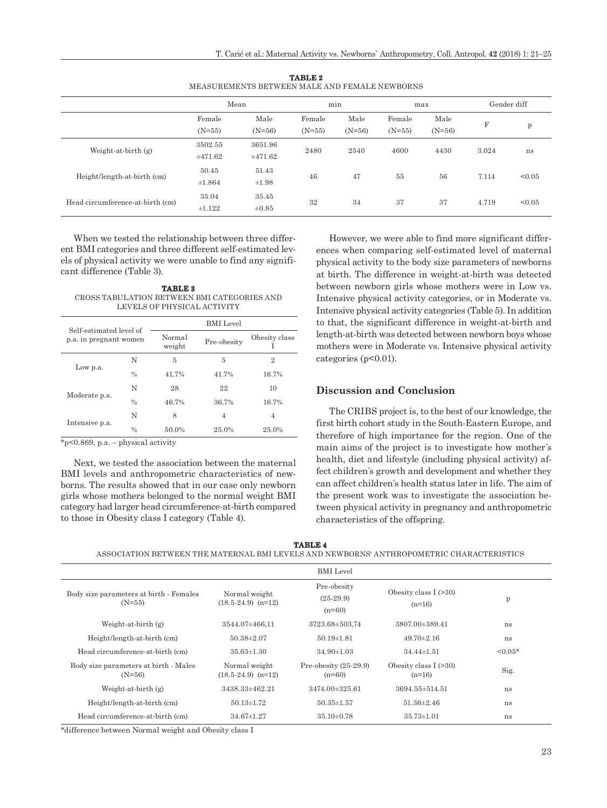|                                  | Mean                 |                     | min                |                  | max                |                  | Gender diff |        |
|----------------------------------|----------------------|---------------------|--------------------|------------------|--------------------|------------------|-------------|--------|
|                                  | Female<br>$(N=55)$   | Male<br>$(N=56)$    | Female<br>$(N=55)$ | Male<br>$(N=56)$ | Female<br>$(N=55)$ | Male<br>$(N=56)$ | F           | p      |
| Weight-at-birth $(g)$            | 3502.55<br>±471.62   | 3651.96<br>±471.62  | 2480               | 2540             | 4600               | 4430             | 3.024       | ns     |
| Height/length-at-birth (cm)      | 50.45<br>±1.864      | 51.43<br>$\pm 1.98$ | 46                 | 47               | 55                 | 56               | 7.114       | < 0.05 |
| Head circumference-at-birth (cm) | 35.04<br>$\pm 1.122$ | 35.45<br>$\pm 0.85$ | 32                 | 34               | 37                 | 37               | 4.719       | < 0.05 |

**TABLE 2** MEASUREMENTS BETWEEN MALE AND FEMALE NEWBORNS

When we tested the relationship between three different BMI categories and three different self-estimated levels of physical activity we were unable to find any significant difference (Table 3).

**TABLE 3** CROSS TABULATION BETWEEN BMI CATEGORIES AND LEVELS OF PHYSICAL ACTIVITY

| Self-estimated level of<br>p.a. in pregnant women |               | <b>BMI</b> Level |             |                |  |  |
|---------------------------------------------------|---------------|------------------|-------------|----------------|--|--|
|                                                   |               | Normal<br>weight | Pre-obesity | Obesity class  |  |  |
|                                                   | N             | 5                | 5           | $\overline{2}$ |  |  |
| Low p.a.                                          | $\frac{0}{0}$ | 41.7%            | 41.7%       | 16.7%          |  |  |
| Moderate p.a.                                     | N             | 28               | 22          | 10             |  |  |
|                                                   | $\frac{0}{0}$ | 46.7%            | 36.7%       | 16.7%          |  |  |
| Intensive p.a.                                    | N             | 8                | 4           | 4              |  |  |
|                                                   | $\frac{0}{0}$ | 50.0%            | 25.0%       | 25.0%          |  |  |
|                                                   |               |                  |             |                |  |  |

\*p<0.869, p.a. – physical activity

Next, we tested the association between the maternal BMI levels and anthropometric characteristics of newborns. The results showed that in our case only newborn girls whose mothers belonged to the normal weight BMI category had larger head circumference-at-birth compared to those in Obesity class I category (Table 4).

However, we were able to find more significant differences when comparing self-estimated level of maternal physical activity to the body size parameters of newborns at birth. The difference in weight-at-birth was detected between newborn girls whose mothers were in Low vs. Intensive physical activity categories, or in Moderate vs. Intensive physical activity categories (Table 5). In addition to that, the significant difference in weight-at-birth and length-at-birth was detected between newborn boys whose mothers were in Moderate vs. Intensive physical activity categories (p<0.01).

# **Discussion and Conclusion**

The CRIBS project is, to the best of our knowledge, the first birth cohort study in the South-Eastern Europe, and therefore of high importance for the region. One of the main aims of the project is to investigate how mother´s health, diet and lifestyle (including physical activity) affect children´s growth and development and whether they can affect children´s health status later in life. The aim of the present work was to investigate the association between physical activity in pregnancy and anthropometric characteristics of the offspring.

**TABLE 4**

ASSOCIATION BETWEEN THE MATERNAL BMI LEVELS AND NEWBORNS' ANTHROPOMETRIC CHARACTERISTICS

|                                                     |                                         | <b>BMI</b> Level                       |                                    |           |
|-----------------------------------------------------|-----------------------------------------|----------------------------------------|------------------------------------|-----------|
| Body size parameters at birth - Females<br>$(N=55)$ | Normal weight<br>$(18.5-24.9)$ $(n=12)$ | Pre-obesity<br>$(25-29.9)$<br>$(n=60)$ | Obesity class $I(>30)$<br>$(n=16)$ | p         |
| Weight-at-birth $(g)$                               | 3544.07±466.11                          | 3723.68±503,74                         | 3807.00±389.41                     | ns        |
| Height/length-at-birth (cm)                         | $50.38 \pm 2.07$                        | $50.19 \pm 1.81$                       | $49.70 \pm 2.16$                   | ns        |
| Head circumference-at-birth (cm)                    | $35.63 \pm 1.30$                        | $34.90 \pm 1.03$                       | $34.44\pm1.51$                     | $< 0.05*$ |
| Body size parameters at birth - Males<br>$(N=56)$   | Normal weight<br>$(18.5-24.9)$ $(n=12)$ | Pre-obesity $(25-29.9)$<br>$(n=60)$    | Obesity class $I(>30)$<br>$(n=16)$ | Sig.      |
| Weight-at-birth $(g)$                               | 3438.33±462.21                          | $3474.00 \pm 325.61$                   | $3694.55 \pm 514.51$               | ns        |
| Height/length-at-birth (cm)                         | $50.13 \pm 1.72$                        | $50.35 \pm 1.57$                       | $51.36 \pm 2.46$                   | ns        |
| Head circumference-at-birth (cm)                    | $34.67 \pm 1.27$                        | $35.10 \pm 0.78$                       | $35.73 \pm 1.01$                   | ns        |

\*difference between Normal weight and Obesity class I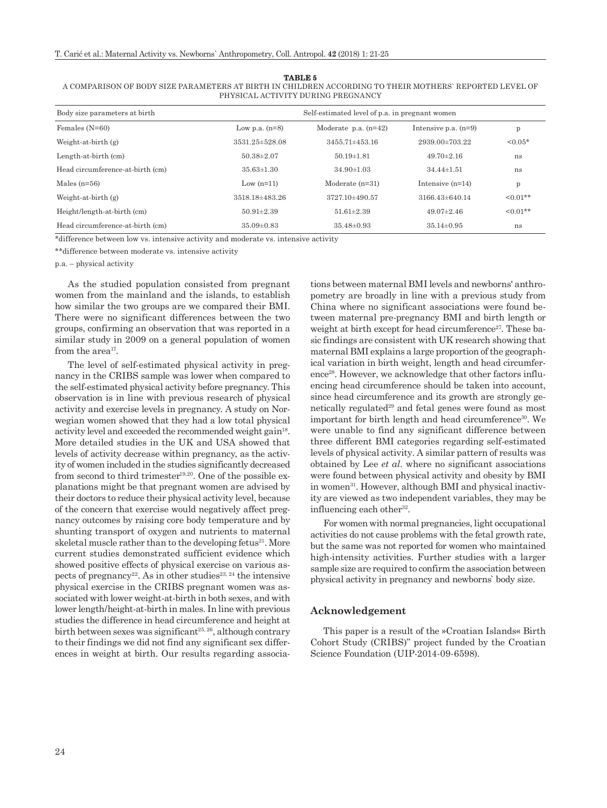#### **TABLE 5**

| A COMPARISON OF BODY SIZE PARAMETERS AT BIRTH IN CHILDREN ACCORDING TO THEIR MOTHERS` REPORTED LEVEL OF |  |
|---------------------------------------------------------------------------------------------------------|--|
| PHYSICAL ACTIVITY DURING PREGNANCY                                                                      |  |

| Body size parameters at birth    |                  | Self-estimated level of p.a. in pregnant women |                        |               |  |  |  |
|----------------------------------|------------------|------------------------------------------------|------------------------|---------------|--|--|--|
| Females $(N=60)$                 | Low p.a. $(n=8)$ | Moderate $p.a. (n=42)$                         | Intensive p.a. $(n=9)$ | $\mathbf{p}$  |  |  |  |
| Weight-at-birth $(g)$            | 3531.25±528.08   | $3455.71 \pm 453.16$                           | $2939.00 \pm 703.22$   | $< 0.05*$     |  |  |  |
| Length-at-birth (cm)             | $50.38 \pm 2.07$ | $50.19 \pm 1.81$                               | $49.70 \pm 2.16$       | ns            |  |  |  |
| Head circumference-at-birth (cm) | $35.63 \pm 1.30$ | $34.90 \pm 1.03$                               | $34.44\pm1.51$         | ns            |  |  |  |
| Males $(n=56)$                   | Low $(n=11)$     | Moderate $(n=31)$                              | Intensive $(n=14)$     | p             |  |  |  |
| Weight-at-birth $(g)$            | 3518.18±483.26   | 3727.10±490.57                                 | $3166.43\pm 640.14$    | $<0.01**$     |  |  |  |
| Height/length-at-birth (cm)      | $50.91 \pm 2.39$ | $51.61 \pm 2.39$                               | $49.07 \pm 2.46$       | $\leq 0.01**$ |  |  |  |
| Head circumference-at-birth (cm) | $35.09 \pm 0.83$ | $35.48 \pm 0.93$                               | $35.14 \pm 0.95$       | ns            |  |  |  |

\*difference between low vs. intensive activity and moderate vs. intensive activity

\*\*difference between moderate vs. intensive activity

p.a. – physical activity

As the studied population consisted from pregnant women from the mainland and the islands, to establish how similar the two groups are we compared their BMI. There were no significant differences between the two groups, confirming an observation that was reported in a similar study in 2009 on a general population of women from the area<sup>17</sup>.

The level of self-estimated physical activity in pregnancy in the CRIBS sample was lower when compared to the self-estimated physical activity before pregnancy. This observation is in line with previous research of physical activity and exercise levels in pregnancy. A study on Norwegian women showed that they had a low total physical activity level and exceeded the recommended weight gain<sup>18</sup>. More detailed studies in the UK and USA showed that levels of activity decrease within pregnancy, as the activity of women included in the studies significantly decreased from second to third trimester<sup>19,20</sup>. One of the possible explanations might be that pregnant women are advised by their doctors to reduce their physical activity level, because of the concern that exercise would negatively affect pregnancy outcomes by raising core body temperature and by shunting transport of oxygen and nutrients to maternal skeletal muscle rather than to the developing fetus<sup>21</sup>. More current studies demonstrated sufficient evidence which showed positive effects of physical exercise on various aspects of pregnancy<sup>22</sup>. As in other studies<sup>23, 24</sup> the intensive physical exercise in the CRIBS pregnant women was associated with lower weight-at-birth in both sexes, and with lower length/height-at-birth in males. In line with previous studies the difference in head circumference and height at birth between sexes was significant<sup>25, 26</sup>, although contrary to their findings we did not find any significant sex differences in weight at birth. Our results regarding associa-

tions between maternal BMI levels and newborns' anthropometry are broadly in line with a previous study from China where no significant associations were found between maternal pre-pregnancy BMI and birth length or weight at birth except for head circumference<sup>27</sup>. These basic findings are consistent with UK research showing that maternal BMI explains a large proportion of the geographical variation in birth weight, length and head circumference<sup>28</sup>. However, we acknowledge that other factors influencing head circumference should be taken into account, since head circumference and its growth are strongly genetically regulated<sup>29</sup> and fetal genes were found as most important for birth length and head circumference<sup>30</sup>. We were unable to find any significant difference between three different BMI categories regarding self-estimated levels of physical activity. A similar pattern of results was obtained by Lee *et al*. where no significant associations were found between physical activity and obesity by BMI in women<sup>31</sup>. However, although BMI and physical inactivity are viewed as two independent variables, they may be influencing each other $32$ .

For women with normal pregnancies, light occupational activities do not cause problems with the fetal growth rate, but the same was not reported for women who maintained high-intensity activities. Further studies with a larger sample size are required to confirm the association between physical activity in pregnancy and newborns` body size.

#### **Acknowledgement**

This paper is a result of the »Croatian Islands« Birth Cohort Study (CRIBS)" project funded by the Croatian Science Foundation (UIP-2014-09-6598).